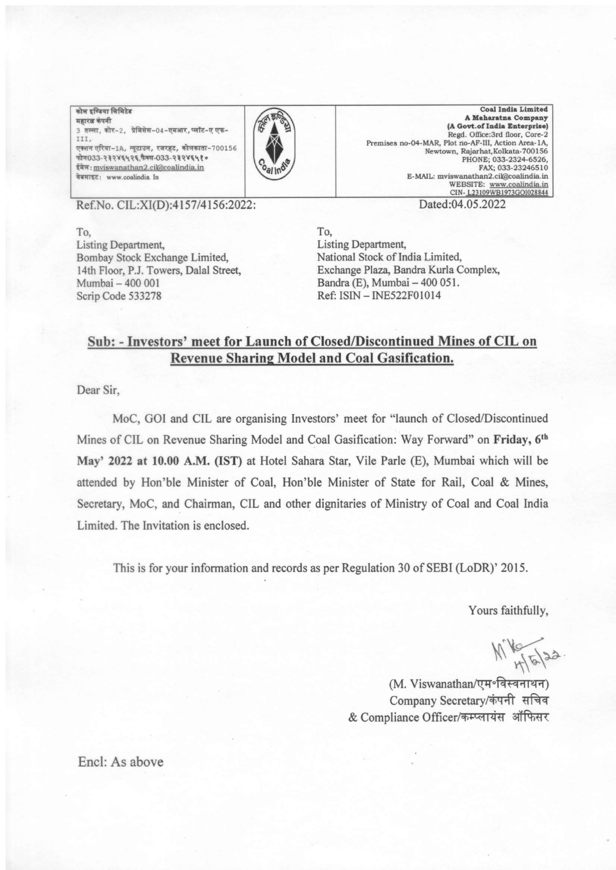.<br>कोल इण्डिया लिमिटेड .<br>महारत्न कंपनी 3 तल्ला, कोर-2, प्रेमिसेस-04-एमआर, प्लॉट-ए एफ-III. एक्शन एरिया-1A, न्यूटाउन, रजरहट, कोलकाता-700156  $\pi$ r $033-232$  YE4 2E  $\frac{4}{3}$  at 033-232YE4 20 ईमेल: mviswanathan2.cil@coalindia.in वेबसाइट: www.coalindia. In



Coal India Limited A Maharatna Company (A Govt.of India Enterprise) Regd. Office:3rd floor, Core-2 Premises no-04-MAR, Plot no-AF-III, Action Area-1A, Newtown, Rajarhat, Kolkata-700156 PHONE; 033-2324-6526, FAX; 033-23246510 E-MAIL: mviswanathan2.cil@coalindia.in WEBSITE: www.coalindia.in<br>CIN-123109WB1973GOl028844

Ref.No. CIL:XI(D):4157/4156:2022:

To, Listing Department Bombay Stock Exchange Limited, 14th Floor, P.J. Towers, Dalal Street, Mumbai - 400 <sup>001</sup> Scrip Code 533278

Dated:D4.05.2022

To, Listing Department, National Stock of India Limited, Exchange Plaza, Bandra Kurla Complex, Bandra (E), Mumbai - 400 051. Ref: ISIN - INE522F010I4

## Sub: - Investors' meet for Launch of Closed/Discontinued Mines of CIL on Revenue Sharine Model and Coal Gasification.

Dear Sir,

MoC, GOI and CIL are organising Investors' meet for "launch of Closed/Discontinued Mines of CIL on Revenue Sharing Model and Coal Gasification: Way Forward" on Friday, 6<sup>th</sup> May' 2022 at 10.00 A.M. (IST) at Hotel Sahara Star, Vile Parle (E), Mumbai which will be attended by Hon'ble Minister of Coal, Hon'ble Minister of State for Rail, Coal & Mines, Secretary, MoC, and Chairman, CIL and other dignitaries of Ministry of Coal and Coal India Limited. The Invitation is enclosed.

This is for your information and records as per Regulation 30 of SEBI (LoDR)' 2015.

Yours faithfully,

 $M_{H5}^{22}$ 

(M. Viswanathan/एम॰विस्वनाथन) Company Secretary/कंपनी सचिव & Compliance Officer/कम्प्लायंस ऑफिसर

Encl: As above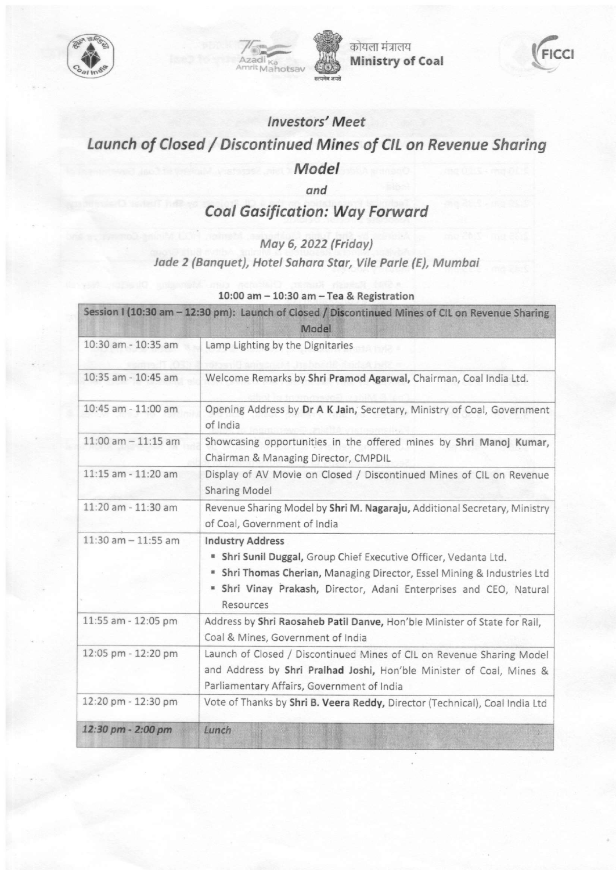



कोयला मंत्रालय Ministry of Coal



## lnvestors'Meet Launch of Closed / Discontinued Mines of CIL on Revenue Sharing Model

ond

**Coal Gasification: Way Forward** 

Moy 6, 2022 (Fridoy)

Jade 2 (Banquet), Hotel Sahara Star, Vile Parle (E), Mumbai

| Session 1 (10:30 am - 12:30 pm): Launch of Closed / Discontinued Mines of CIL on Revenue Sharing<br>Model |                                                                                                                                                                                                                                                           |
|-----------------------------------------------------------------------------------------------------------|-----------------------------------------------------------------------------------------------------------------------------------------------------------------------------------------------------------------------------------------------------------|
| 10:30 am - 10:35 am                                                                                       | Lamp Lighting by the Dignitaries                                                                                                                                                                                                                          |
| 10:35 am - 10:45 am                                                                                       | Welcome Remarks by Shri Pramod Agarwal, Chairman, Coal India Ltd.                                                                                                                                                                                         |
| 10:45 am - 11:00 am                                                                                       | Opening Address by Dr A K Jain, Secretary, Ministry of Coal, Government<br>of India                                                                                                                                                                       |
| $11:00$ am $-11:15$ am                                                                                    | Showcasing opportunities in the offered mines by Shri Manoj Kumar,<br>Chairman & Managing Director, CMPDIL                                                                                                                                                |
| 11:15 am - 11:20 am                                                                                       | Display of AV Movie on Closed / Discontinued Mines of CIL on Revenue<br><b>Sharing Model</b>                                                                                                                                                              |
| 11:20 am - 11:30 am                                                                                       | Revenue Sharing Model by Shri M. Nagaraju, Additional Secretary, Ministry<br>of Coal, Government of India                                                                                                                                                 |
| $11:30$ am $-11:55$ am                                                                                    | <b>Industry Address</b><br>" Shri Sunil Duggal, Group Chief Executive Officer, Vedanta Ltd.<br>" Shri Thomas Cherian, Managing Director, Essel Mining & Industries Ltd<br>" Shri Vinay Prakash, Director, Adani Enterprises and CEO, Natural<br>Resources |
| 11:55 am - 12:05 pm                                                                                       | Address by Shri Raosaheb Patil Danve, Hon'ble Minister of State for Rail,<br>Coal & Mines, Government of India                                                                                                                                            |
| 12:05 pm - 12:20 pm                                                                                       | Launch of Closed / Discontinued Mines of CIL on Revenue Sharing Model<br>and Address by Shri Pralhad Joshi, Hon'ble Minister of Coal, Mines &<br>Parliamentary Affairs, Government of India                                                               |
| 12:20 pm - 12:30 pm                                                                                       | Vote of Thanks by Shri B. Veera Reddy, Director (Technical), Coal India Ltd                                                                                                                                                                               |
| 12:30 pm - 2:00 pm                                                                                        | Lunch                                                                                                                                                                                                                                                     |

10:00 am - 10:30 am - Tea & Registration